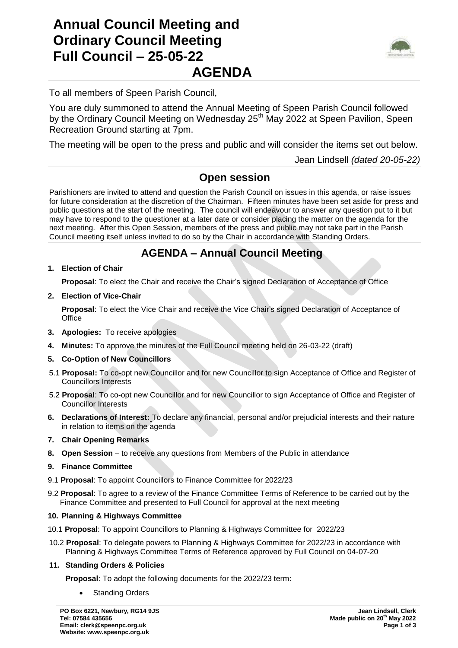# **Annual Council Meeting and Ordinary Council Meeting Full Council – 25-05-22 AGENDA**



To all members of Speen Parish Council,

You are duly summoned to attend the Annual Meeting of Speen Parish Council followed by the Ordinary Council Meeting on Wednesday 25<sup>th</sup> May 2022 at Speen Pavilion, Speen Recreation Ground starting at 7pm.

The meeting will be open to the press and public and will consider the items set out below.

Jean Lindsell *(dated 20-05-22)*

### **Open session**

Parishioners are invited to attend and question the Parish Council on issues in this agenda, or raise issues for future consideration at the discretion of the Chairman. Fifteen minutes have been set aside for press and public questions at the start of the meeting. The council will endeavour to answer any question put to it but may have to respond to the questioner at a later date or consider placing the matter on the agenda for the next meeting. After this Open Session, members of the press and public may not take part in the Parish Council meeting itself unless invited to do so by the Chair in accordance with Standing Orders.

## **AGENDA – Annual Council Meeting**

**1. Election of Chair**

**Proposal**: To elect the Chair and receive the Chair's signed Declaration of Acceptance of Office

**2. Election of Vice-Chair**

**Proposal**: To elect the Vice Chair and receive the Vice Chair's signed Declaration of Acceptance of **Office** 

- **3. Apologies:** To receive apologies
- **4. Minutes:** To approve the minutes of the Full Council meeting held on 26-03-22 (draft)
- **5. Co-Option of New Councillors**
- 5.1 **Proposal:** To co-opt new Councillor and for new Councillor to sign Acceptance of Office and Register of Councillors Interests
- 5.2 **Proposal**: To co-opt new Councillor and for new Councillor to sign Acceptance of Office and Register of Councillor Interests
- **6. Declarations of Interest:** To declare any financial, personal and/or prejudicial interests and their nature in relation to items on the agenda
- **7. Chair Opening Remarks**
- **8. Open Session**  to receive any questions from Members of the Public in attendance
- **9. Finance Committee**
- 9.1 **Proposal**: To appoint Councillors to Finance Committee for 2022/23
- 9.2 **Proposal**: To agree to a review of the Finance Committee Terms of Reference to be carried out by the Finance Committee and presented to Full Council for approval at the next meeting

### **10. Planning & Highways Committee**

- 10.1 **Proposal**: To appoint Councillors to Planning & Highways Committee for 2022/23
- 10.2 **Proposal**: To delegate powers to Planning & Highways Committee for 2022/23 in accordance with Planning & Highways Committee Terms of Reference approved by Full Council on 04-07-20

### **11. Standing Orders & Policies**

- **Proposal**: To adopt the following documents for the 2022/23 term:
	- Standing Orders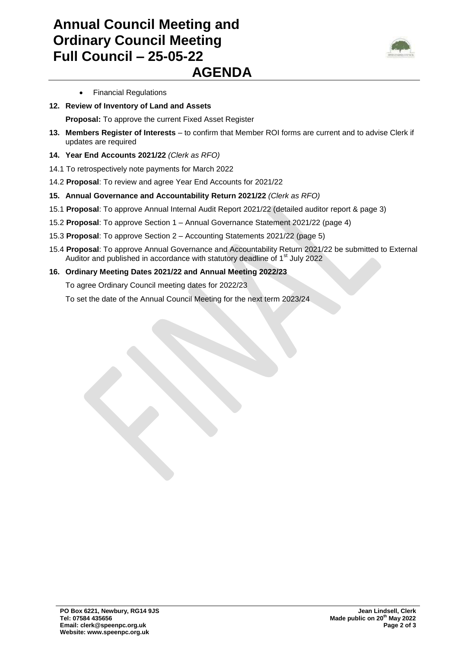## **Annual Council Meeting and Ordinary Council Meeting Full Council – 25-05-22 AGENDA**



- Financial Regulations
- **12. Review of Inventory of Land and Assets** 
	- **Proposal:** To approve the current Fixed Asset Register
- **13. Members Register of Interests** to confirm that Member ROI forms are current and to advise Clerk if updates are required
- **14. Year End Accounts 2021/22** *(Clerk as RFO)*
- 14.1 To retrospectively note payments for March 2022
- 14.2 **Proposal**: To review and agree Year End Accounts for 2021/22
- **15. Annual Governance and Accountability Return 2021/22** *(Clerk as RFO)*
- 15.1 **Proposal**: To approve Annual Internal Audit Report 2021/22 (detailed auditor report & page 3)
- 15.2 **Proposal**: To approve Section 1 Annual Governance Statement 2021/22 (page 4)
- 15.3 **Proposal**: To approve Section 2 Accounting Statements 2021/22 (page 5)
- 15.4 **Proposal**: To approve Annual Governance and Accountability Return 2021/22 be submitted to External Auditor and published in accordance with statutory deadline of  $1<sup>st</sup>$  July 2022
- **16. Ordinary Meeting Dates 2021/22 and Annual Meeting 2022/23**

To agree Ordinary Council meeting dates for 2022/23

To set the date of the Annual Council Meeting for the next term 2023/24